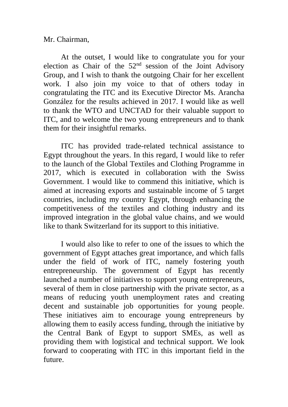Mr. Chairman,

At the outset, I would like to congratulate you for your election as Chair of the 52nd session of the Joint Advisory Group, and I wish to thank the outgoing Chair for her excellent work. I also join my voice to that of others today in congratulating the ITC and its Executive Director Ms. Arancha González for the results achieved in 2017. I would like as well to thank the WTO and UNCTAD for their valuable support to ITC, and to welcome the two young entrepreneurs and to thank them for their insightful remarks.

ITC has provided trade-related technical assistance to Egypt throughout the years. In this regard, I would like to refer to the launch of the Global Textiles and Clothing Programme in 2017, which is executed in collaboration with the Swiss Government. I would like to commend this initiative, which is aimed at increasing exports and sustainable income of 5 target countries, including my country Egypt, through enhancing the competitiveness of the textiles and clothing industry and its improved integration in the global value chains, and we would like to thank Switzerland for its support to this initiative.

I would also like to refer to one of the issues to which the government of Egypt attaches great importance, and which falls under the field of work of ITC, namely fostering youth entrepreneurship. The government of Egypt has recently launched a number of initiatives to support young entrepreneurs, several of them in close partnership with the private sector, as a means of reducing youth unemployment rates and creating decent and sustainable job opportunities for young people. These initiatives aim to encourage young entrepreneurs by allowing them to easily access funding, through the initiative by the Central Bank of Egypt to support SMEs, as well as providing them with logistical and technical support. We look forward to cooperating with ITC in this important field in the future.